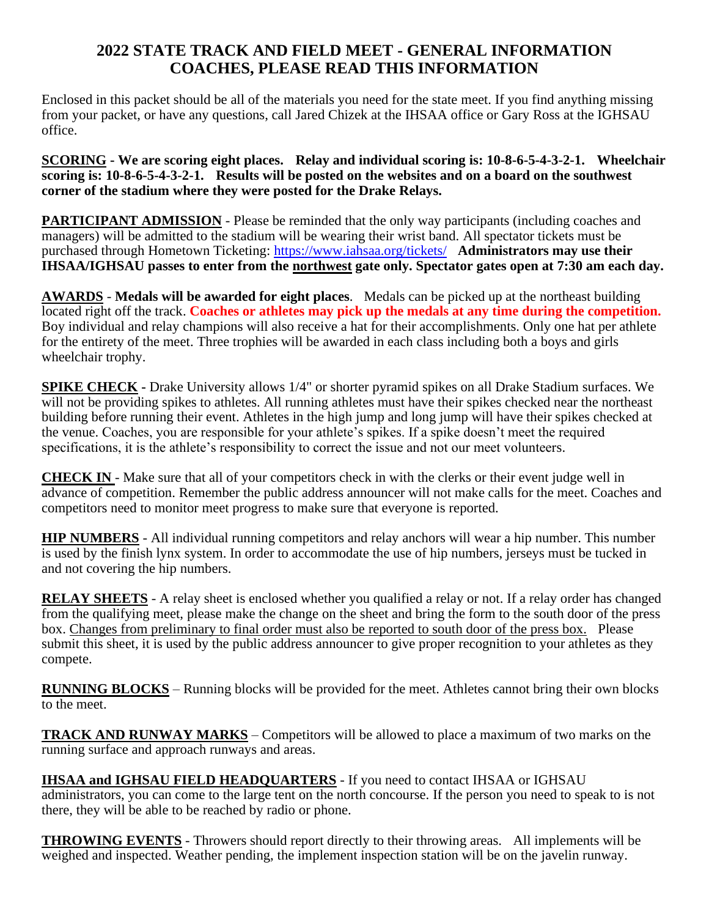## **2022 STATE TRACK AND FIELD MEET - GENERAL INFORMATION COACHES, PLEASE READ THIS INFORMATION**

Enclosed in this packet should be all of the materials you need for the state meet. If you find anything missing from your packet, or have any questions, call Jared Chizek at the IHSAA office or Gary Ross at the IGHSAU office.

**SCORING - We are scoring eight places. Relay and individual scoring is: 10-8-6-5-4-3-2-1. Wheelchair scoring is: 10-8-6-5-4-3-2-1. Results will be posted on the websites and on a board on the southwest corner of the stadium where they were posted for the Drake Relays.** 

**PARTICIPANT ADMISSION** - Please be reminded that the only way participants (including coaches and managers) will be admitted to the stadium will be wearing their wrist band. All spectator tickets must be purchased through Hometown Ticketing:<https://www.iahsaa.org/tickets/> **Administrators may use their IHSAA/IGHSAU passes to enter from the northwest gate only. Spectator gates open at 7:30 am each day.**

**AWARDS** - **Medals will be awarded for eight places**. Medals can be picked up at the northeast building located right off the track. **Coaches or athletes may pick up the medals at any time during the competition.** Boy individual and relay champions will also receive a hat for their accomplishments. Only one hat per athlete for the entirety of the meet. Three trophies will be awarded in each class including both a boys and girls wheelchair trophy.

**SPIKE CHECK -** Drake University allows 1/4" or shorter pyramid spikes on all Drake Stadium surfaces. We will not be providing spikes to athletes. All running athletes must have their spikes checked near the northeast building before running their event. Athletes in the high jump and long jump will have their spikes checked at the venue. Coaches, you are responsible for your athlete's spikes. If a spike doesn't meet the required specifications, it is the athlete's responsibility to correct the issue and not our meet volunteers.

**CHECK IN** - Make sure that all of your competitors check in with the clerks or their event judge well in advance of competition. Remember the public address announcer will not make calls for the meet. Coaches and competitors need to monitor meet progress to make sure that everyone is reported.

**HIP NUMBERS** - All individual running competitors and relay anchors will wear a hip number. This number is used by the finish lynx system. In order to accommodate the use of hip numbers, jerseys must be tucked in and not covering the hip numbers.

**RELAY SHEETS** - A relay sheet is enclosed whether you qualified a relay or not. If a relay order has changed from the qualifying meet, please make the change on the sheet and bring the form to the south door of the press box. Changes from preliminary to final order must also be reported to south door of the press box. Please submit this sheet, it is used by the public address announcer to give proper recognition to your athletes as they compete.

**RUNNING BLOCKS** – Running blocks will be provided for the meet. Athletes cannot bring their own blocks to the meet.

**TRACK AND RUNWAY MARKS** – Competitors will be allowed to place a maximum of two marks on the running surface and approach runways and areas.

**IHSAA and IGHSAU FIELD HEADQUARTERS** - If you need to contact IHSAA or IGHSAU administrators, you can come to the large tent on the north concourse. If the person you need to speak to is not there, they will be able to be reached by radio or phone.

**THROWING EVENTS** - Throwers should report directly to their throwing areas. All implements will be weighed and inspected. Weather pending, the implement inspection station will be on the javelin runway.